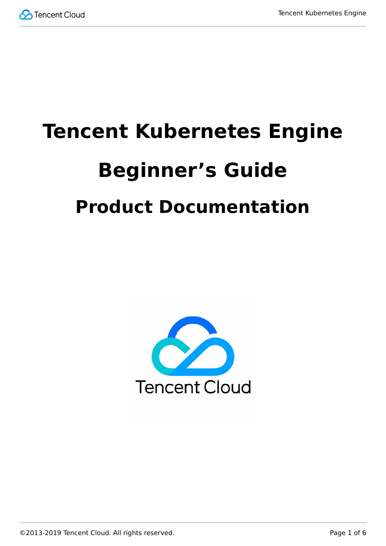

# **Tencent Kubernetes Engine Beginner's Guide Product Documentation**

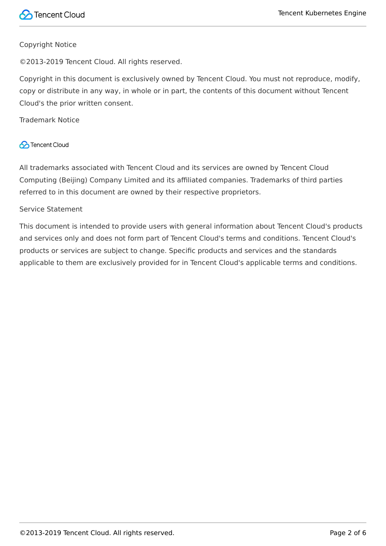#### Copyright Notice

©2013-2019 Tencent Cloud. All rights reserved.

Copyright in this document is exclusively owned by Tencent Cloud. You must not reproduce, modify, copy or distribute in any way, in whole or in part, the contents of this document without Tencent Cloud's the prior written consent.

Trademark Notice

#### **C** Tencent Cloud

All trademarks associated with Tencent Cloud and its services are owned by Tencent Cloud Computing (Beijing) Company Limited and its affiliated companies. Trademarks of third parties referred to in this document are owned by their respective proprietors.

#### Service Statement

This document is intended to provide users with general information about Tencent Cloud's products and services only and does not form part of Tencent Cloud's terms and conditions. Tencent Cloud's products or services are subject to change. Specific products and services and the standards applicable to them are exclusively provided for in Tencent Cloud's applicable terms and conditions.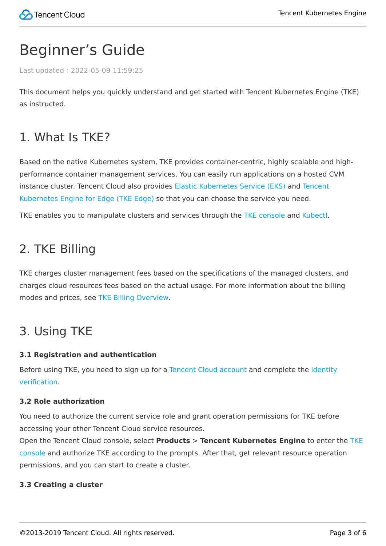## Beginner's Guide

Last updated:2022-05-09 11:59:25

This document helps you quickly understand and get started with Tencent Kubernetes Engine (TKE) as instructed.

## 1. What Is TKE?

Based on the native Kubernetes system, TKE provides container-centric, highly scalable and highperformance container management services. You can easily run applications on a hosted CVM [instance cluster. Tencent Cloud also provides Elastic Kubernetes Service \(EKS\) and Tencent](https://intl.cloud.tencent.com/document/product/457/35390) Kubernetes Engine for Edge (TKE Edge) so that you can choose the service you need.

TKE enables you to manipulate clusters and services through the [TKE console](https://console.cloud.tencent.com/tke2/overview) and [Kubectl](https://intl.cloud.tencent.com/document/product/457/30639).

## 2. TKE Billing

TKE charges cluster management fees based on the specifications of the managed clusters, and charges cloud resources fees based on the actual usage. For more information about the billing modes and prices, see [TKE Billing Overview](https://intl.cloud.tencent.com/document/product/457/45157).

## 3. Using TKE

#### **3.1 Registration and authentication**

[Before using TKE, you need to sign up for a Tencent Cloud account and complete the identity](https://intl.cloud.tencent.com/document/product/378/3629) verification.

#### **3.2 Role authorization**

You need to authorize the current service role and grant operation permissions for TKE before accessing your other Tencent Cloud service resources.

Open the Tencent Cloud console, select **Products** > **Tencent Kubernetes Engine** to enter the TKE [console and authorize TKE according to the prompts. After that, get relevant resource operation](https://console.cloud.tencent.com/tke2/cluster?rid=1) permissions, and you can start to create a cluster.

#### **3.3 Creating a cluster**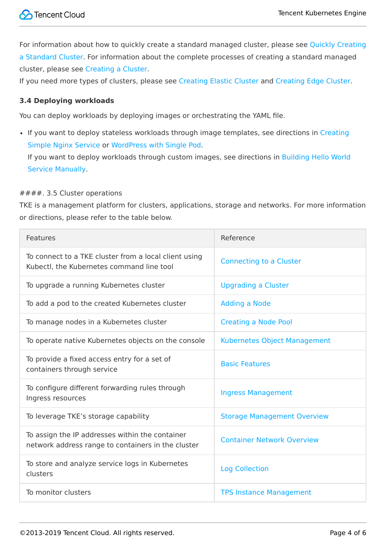[For information about how to quickly create a standard managed cluster, please see Quickly Creating](https://intl.cloud.tencent.com/document/product/457/40029) a Standard Cluster. For information about the complete processes of creating a standard managed cluster, please see [Creating a Cluster.](https://intl.cloud.tencent.com/document/product/457/30637)

If you need more types of clusters, please see [Creating Elastic Cluster](https://intl.cloud.tencent.com/document/product/457/34048) and [Creating Edge Cluster](https://intl.cloud.tencent.com/document/product/457/35385).

#### **3.4 Deploying workloads**

You can deploy workloads by deploying images or orchestrating the YAML file.

• [If you want to deploy stateless workloads through image templates, see directions in Creating](https://intl.cloud.tencent.com/document/product/457/7851) Simple Nginx Service or [WordPress with Single Pod](https://intl.cloud.tencent.com/document/product/457/7205).

[If you want to deploy workloads through custom images, see directions in Building Hello World](https://intl.cloud.tencent.com/document/product/457/7204) Service Manually.

#### ####. 3.5 Cluster operations

TKE is a management platform for clusters, applications, storage and networks. For more information or directions, please refer to the table below.

| Features                                                                                              | Reference                          |
|-------------------------------------------------------------------------------------------------------|------------------------------------|
| To connect to a TKE cluster from a local client using<br>Kubectl, the Kubernetes command line tool    | <b>Connecting to a Cluster</b>     |
| To upgrade a running Kubernetes cluster                                                               | <b>Upgrading a Cluster</b>         |
| To add a pod to the created Kubernetes cluster                                                        | <b>Adding a Node</b>               |
| To manage nodes in a Kubernetes cluster                                                               | <b>Creating a Node Pool</b>        |
| To operate native Kubernetes objects on the console                                                   | Kubernetes Object Management       |
| To provide a fixed access entry for a set of<br>containers through service                            | <b>Basic Features</b>              |
| To configure different forwarding rules through<br>Ingress resources                                  | <b>Ingress Management</b>          |
| To leverage TKE's storage capability                                                                  | <b>Storage Management Overview</b> |
| To assign the IP addresses within the container<br>network address range to containers in the cluster | <b>Container Network Overview</b>  |
| To store and analyze service logs in Kubernetes<br>clusters                                           | <b>Log Collection</b>              |
| To monitor clusters                                                                                   | <b>TPS Instance Management</b>     |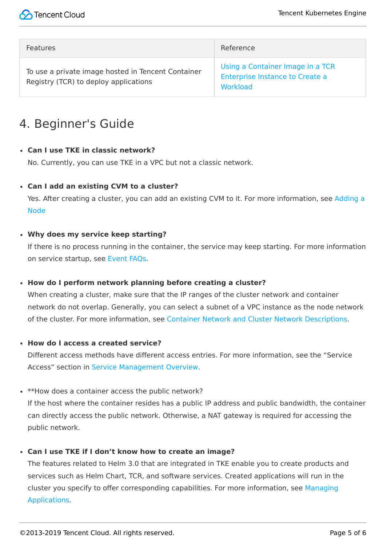| Features                                                                                    | Reference                                                                       |
|---------------------------------------------------------------------------------------------|---------------------------------------------------------------------------------|
| To use a private image hosted in Tencent Container<br>Registry (TCR) to deploy applications | Using a Container Image in a TCR<br>Enterprise Instance to Create a<br>Workload |

## 4. Beginner's Guide

#### **Can I use TKE in classic network?**

No. Currently, you can use TKE in a VPC but not a classic network.

**Can I add an existing CVM to a cluster?**

[Yes. After creating a cluster, you can add an existing CVM to it. For more information, see Adding a](https://intl.cloud.tencent.com/document/product/457/30652#.E6.B7.BB.E5.8A.A0.E5.B7.B2.E6.9C.89.E8.8A.82.E7.82.B9) Node

#### **Why does my service keep starting?**

If there is no process running in the container, the service may keep starting. For more information on service startup, see [Event FAQs.](https://intl.cloud.tencent.com/document/product/457/8187)

#### **How do I perform network planning before creating a cluster?**

When creating a cluster, make sure that the IP ranges of the cluster network and container network do not overlap. Generally, you can select a subnet of a VPC instance as the node network of the cluster. For more information, see [Container Network and Cluster Network Descriptions.](https://intl.cloud.tencent.com/document/product/457/38966#.E5.AE.B9.E5.99.A8.E7.BD.91.E7.BB.9C.E4.B8.8E.E9.9B.86.E7.BE.A4.E7.BD.91.E7.BB.9C.E8.AF.B4.E6.98.8E)

**How do I access a created service?**

Different access methods have different access entries. For more information, see the "Service Access" section in [Service Management Overview](https://intl.cloud.tencent.com/document/product/457/36832).

\* \*\*How does a container access the public network?

If the host where the container resides has a public IP address and public bandwidth, the container can directly access the public network. Otherwise, a NAT gateway is required for accessing the public network.

#### **Can I use TKE if I don't know how to create an image?**

The features related to Helm 3.0 that are integrated in TKE enable you to create products and services such as Helm Chart, TCR, and software services. Created applications will run in the [cluster you specify to offer corresponding capabilities. For more information, see Managing](https://intl.cloud.tencent.com/document/product/457/30683) Applications.